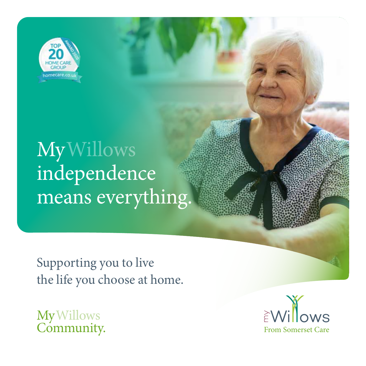

# My Willows independence means everything.

Supporting you to live the life you choose at home.

My<sup>'</sup> Community. Willows

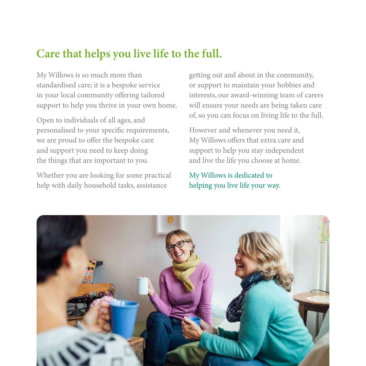#### **Care that helps you live life to the full.**

My Willows is so much more than standardised care; it is a bespoke service in your local community offering tailored support to help you thrive in your own home.

Open to individuals of all ages, and personalised to your specific requirements, we are proud to offer the bespoke care and support you need to keep doing the things that are important to you.

Whether you are looking for some practical help with daily household tasks, assistance

getting out and about in the community, or support to maintain your hobbies and interests, our award-winning team of carers will ensure your needs are being taken care of, so you can focus on living life to the full.

However and whenever you need it, My Willows offers that extra care and support to help you stay independent and live the life you choose at home.

My Willows is dedicated to helping you live life your way.

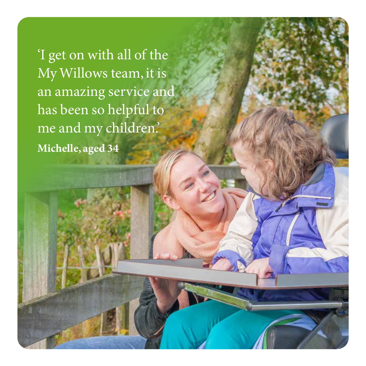'I get on with all of the My Willows team, it is an amazing service and has been so helpful to me and my children.' **Michelle, aged 34**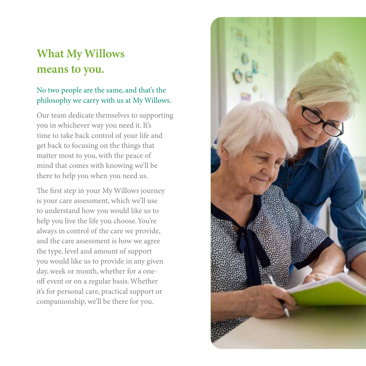## **What My Willows means to you.**

#### No two people are the same, and that's the philosophy we carry with us at My Willows.

Our team dedicate themselves to supporting you in whichever way you need it. It's time to take back control of your life and get back to focusing on the things that matter most to you, with the peace of mind that comes with knowing we'll be there to help you when you need us.

The first step in your My Willows journey is your care assessment, which we'll use to understand how you would like us to help you live the life you choose. You're always in control of the care we provide, and the care assessment is how we agree the type, level and amount of support you would like us to provide in any given day, week or month, whether for a oneoff event or on a regular basis. Whether it's for personal care, practical support or companionship, we'll be there for you.

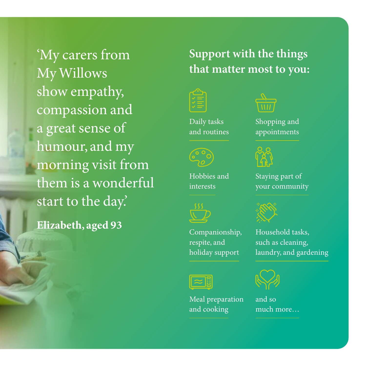'My carers from My Willows show empathy, compassion and a great sense of humour, and my morning visit from them is a wonderful start to the day.' **Elizabeth, aged 93**

## **Support with the things that matter most to you:**



Daily tasks and routines



Hobbies and interests

Shopping and appointments



Staying part of your community



Household tasks, such as cleaning, laundry, and gardening

Meal preparation and cooking

Companionship, respite, and holiday support



and so much more…